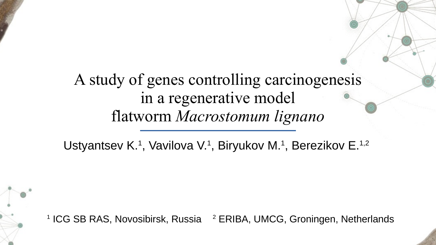## A study of genes controlling carcinogenesis in a regenerative model flatworm *Macrostomum lignano*

Ustyantsev K<sup>1</sup>, Vavilova V<sup>1</sup>, Biryukov M<sup>1</sup>, Berezikov E<sup>1,2</sup>

<sup>1</sup> ICG SB RAS, Novosibirsk, Russia <sup>2</sup> ERIBA, UMCG, Groningen, Netherlands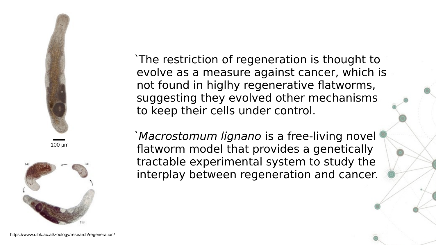

100 μm



`The restriction of regeneration is thought to evolve as a measure against cancer, which is not found in higlhy regenerative flatworms, suggesting they evolved other mechanisms to keep their cells under control.

`Macrostomum lignano is a free-living novel flatworm model that provides a genetically tractable experimental system to study the interplay between regeneration and cancer.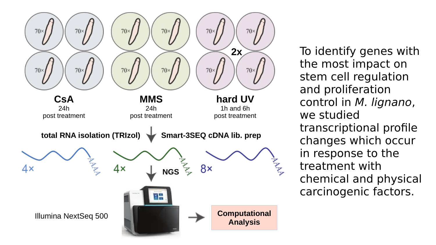

To identify genes with the most impact on stem cell regulation and proliferation control in M. lignano, we studied transcriptional profile changes which occur in response to the treatment with chemical and physical carcinogenic factors.